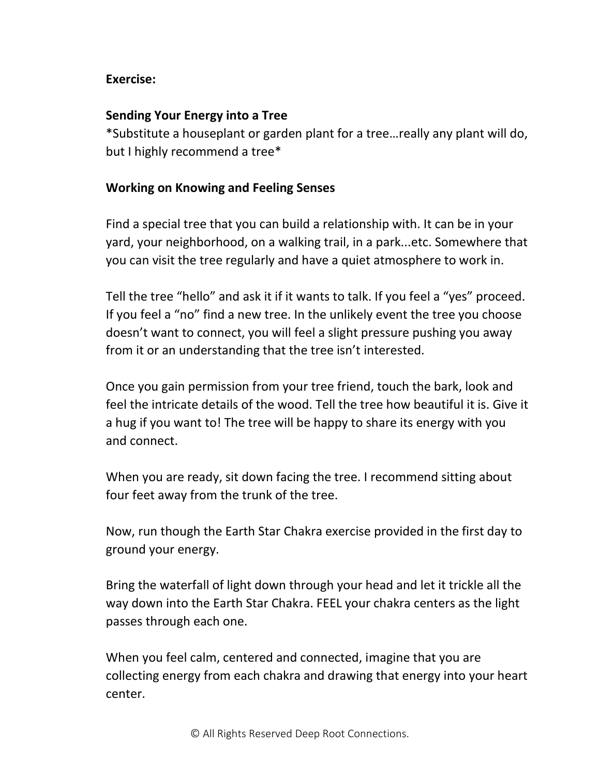## **Exercise:**

## **Sending Your Energy into a Tree**

\*Substitute a houseplant or garden plant for a tree…really any plant will do, but I highly recommend a tree\*

## **Working on Knowing and Feeling Senses**

Find a special tree that you can build a relationship with. It can be in your yard, your neighborhood, on a walking trail, in a park...etc. Somewhere that you can visit the tree regularly and have a quiet atmosphere to work in.

Tell the tree "hello" and ask it if it wants to talk. If you feel a "yes" proceed. If you feel a "no" find a new tree. In the unlikely event the tree you choose doesn't want to connect, you will feel a slight pressure pushing you away from it or an understanding that the tree isn't interested.

Once you gain permission from your tree friend, touch the bark, look and feel the intricate details of the wood. Tell the tree how beautiful it is. Give it a hug if you want to! The tree will be happy to share its energy with you and connect.

When you are ready, sit down facing the tree. I recommend sitting about four feet away from the trunk of the tree.

Now, run though the Earth Star Chakra exercise provided in the first day to ground your energy.

Bring the waterfall of light down through your head and let it trickle all the way down into the Earth Star Chakra. FEEL your chakra centers as the light passes through each one.

When you feel calm, centered and connected, imagine that you are collecting energy from each chakra and drawing that energy into your heart center.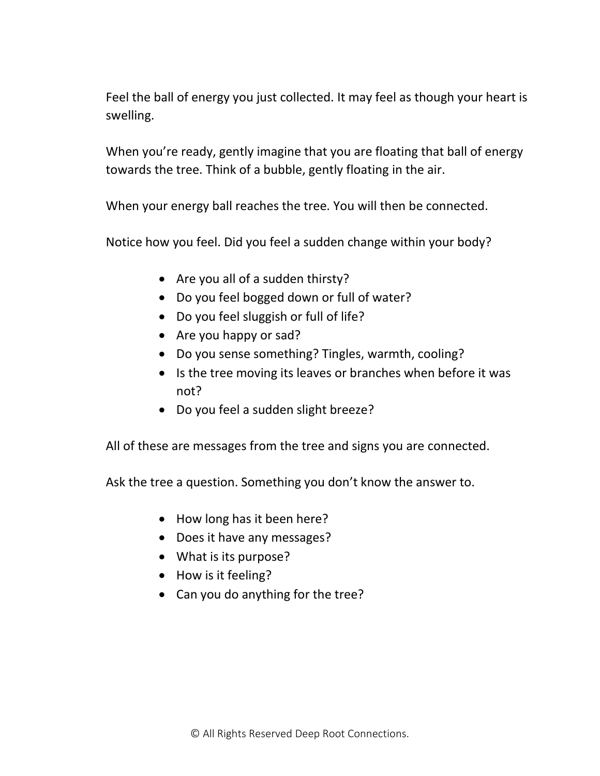Feel the ball of energy you just collected. It may feel as though your heart is swelling.

When you're ready, gently imagine that you are floating that ball of energy towards the tree. Think of a bubble, gently floating in the air.

When your energy ball reaches the tree. You will then be connected.

Notice how you feel. Did you feel a sudden change within your body?

- Are you all of a sudden thirsty?
- Do you feel bogged down or full of water?
- Do you feel sluggish or full of life?
- Are you happy or sad?
- Do you sense something? Tingles, warmth, cooling?
- Is the tree moving its leaves or branches when before it was not?
- Do you feel a sudden slight breeze?

All of these are messages from the tree and signs you are connected.

Ask the tree a question. Something you don't know the answer to.

- How long has it been here?
- Does it have any messages?
- What is its purpose?
- How is it feeling?
- Can you do anything for the tree?